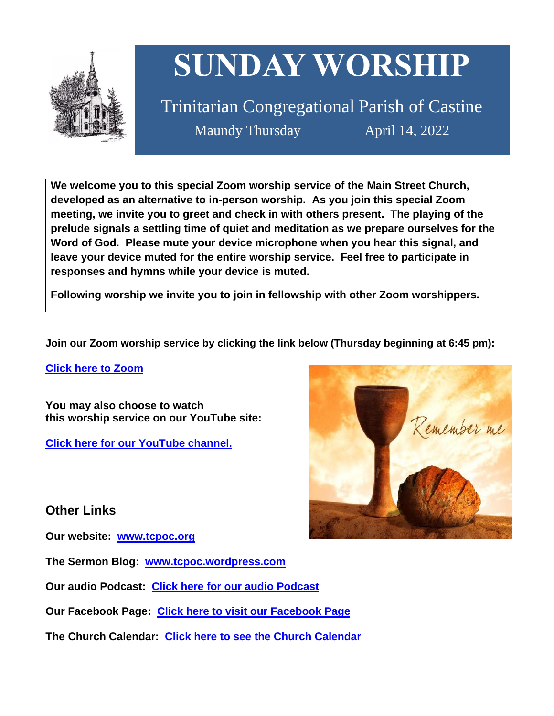

# **SUNDAY WORSHIP**

Trinitarian Congregational Parish of Castine Maundy Thursday **April 14, 2022** 

**We welcome you to this special Zoom worship service of the Main Street Church, developed as an alternative to in-person worship. As you join this special Zoom meeting, we invite you to greet and check in with others present. The playing of the prelude signals a settling time of quiet and meditation as we prepare ourselves for the Word of God. Please mute your device microphone when you hear this signal, and leave your device muted for the entire worship service. Feel free to participate in responses and hymns while your device is muted.**

**Following worship we invite you to join in fellowship with other Zoom worshippers.**

**Join our Zoom worship service by clicking the link below (Thursday beginning at 6:45 pm):**

**Click here to [Zoom](https://us02web.zoom.us/j/89573448511?pwd=MFRuSFBJR2NWL015RzlyZ1UycmROQT09)**

**You may also choose to watch this worship service on our YouTube site:**

**Click here for our [YouTube](https://www.youtube.com/channel/UC4Bu-O6pN-bdPOqVNg0fBxA) channel.**

# **Other Links**

**Our website: [www.tcpoc.org](http://www.tcpoc.org/)**

**The Sermon Blog: [www.tcpoc.wordpress.com](http://www.tcpoc.wordpress.com/)**

**Our audio Podcast: Click here for our audio [Podcast](https://podpoint.com/trinitarian-congregational-parish-of-castine-podcast)**

**Our Facebook Page: Click here to visit our [Facebook](https://www.facebook.com/tcpoc) Page**

**The Church Calendar: Click here to see the Church [Calendar](http://www.tcpoc.org/calendar.html)**

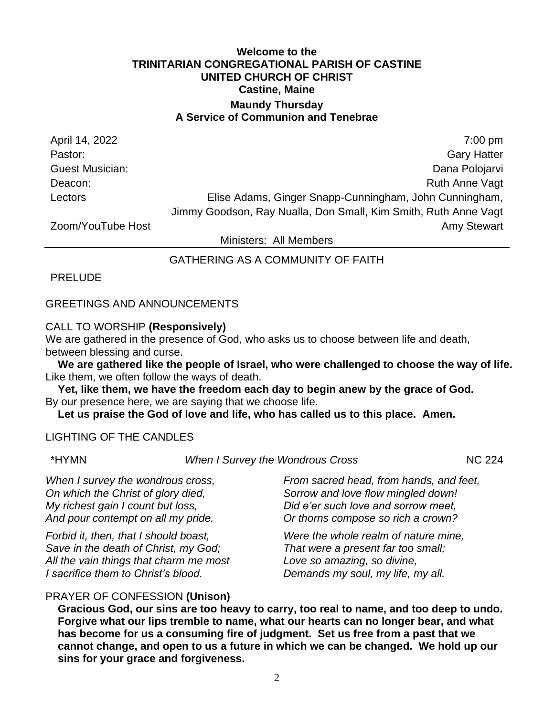## **Welcome to the TRINITARIAN CONGREGATIONAL PARISH OF CASTINE UNITED CHURCH OF CHRIST Castine, Maine Maundy Thursday A Service of Communion and Tenebrae**

April 14, 2022 **7:00 pm** Pastor: Gary Hatter Guest Musician: Dana Polojarvi Deacon: **Ruth Anne Vagt Contract Anne Vagt Contract Anne Vagt Contract Anne Vagt Contract Anne Vagt Contract Anne Vagt Contract Anne Vagt Contract Anne Vagt Contract Anne Vagt Contract Anne Vagt Contract Anne Vagt Contra** Lectors Elise Adams, Ginger Snapp-Cunningham, John Cunningham, Jimmy Goodson, Ray Nualla, Don Small, Kim Smith, Ruth Anne Vagt Zoom/YouTube Host **Amy Stewart** Amy Stewart

Ministers: All Members

## GATHERING AS A COMMUNITY OF FAITH

PRELUDE

## GREETINGS AND ANNOUNCEMENTS

## CALL TO WORSHIP **(Responsively)**

We are gathered in the presence of God, who asks us to choose between life and death, between blessing and curse.

**We are gathered like the people of Israel, who were challenged to choose the way of life.** Like them, we often follow the ways of death.

**Yet, like them, we have the freedom each day to begin anew by the grace of God.** By our presence here, we are saying that we choose life.

**Let us praise the God of love and life, who has called us to this place. Amen.**

**LIGHTING OF THE CANDLES** 

\*HYMN *When I Survey the Wondrous Cross* NC 224

| When I survey the wondrous cross,      | From sacred head, from hands, and feet, |
|----------------------------------------|-----------------------------------------|
| On which the Christ of glory died,     | Sorrow and love flow mingled down!      |
| My richest gain I count but loss,      | Did e'er such love and sorrow meet,     |
| And pour contempt on all my pride.     | Or thorns compose so rich a crown?      |
| Forbid it, then, that I should boast,  | Were the whole realm of nature mine,    |
| Save in the death of Christ, my God;   | That were a present far too small;      |
| All the vain things that charm me most | Love so amazing, so divine,             |
| I sacrifice them to Christ's blood.    | Demands my soul, my life, my all.       |

#### PRAYER OF CONFESSION **(Unison)**

**Gracious God, our sins are too heavy to carry, too real to name, and too deep to undo. Forgive what our lips tremble to name, what our hearts can no longer bear, and what has become for us a consuming fire of judgment. Set us free from a past that we cannot change, and open to us a future in which we can be changed. We hold up our sins for your grace and forgiveness.**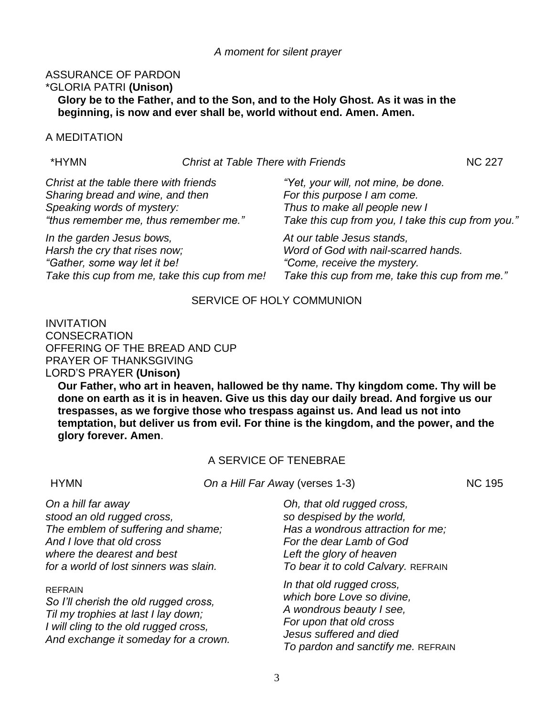#### *A moment for silent prayer*

## ASSURANCE OF PARDON

\*GLORIA PATRI **(Unison)**

**Glory be to the Father, and to the Son, and to the Holy Ghost. As it was in the beginning, is now and ever shall be, world without end. Amen. Amen.**

#### A MEDITATION

\*HYMN *Christ at Table There with Friends* NC 227

| Christ at the table there with friends |  |  |
|----------------------------------------|--|--|
| Sharing bread and wine, and then       |  |  |
| Speaking words of mystery:             |  |  |
| "thus remember me, thus remember me."  |  |  |

*In the garden Jesus bows, Harsh the cry that rises now; "Gather, some way let it be! Take this cup from me, take this cup from me!* *"Yet, your will, not mine, be done. For this purpose I am come. Thus to make all people new I Take this cup from you, I take this cup from you."*

*At our table Jesus stands, Word of God with nail-scarred hands. "Come, receive the mystery. Take this cup from me, take this cup from me."*

#### SERVICE OF HOLY COMMUNION

INVITATION **CONSECRATION** OFFERING OF THE BREAD AND CUP PRAYER OF THANKSGIVING LORD'S PRAYER **(Unison)**

*And exchange it someday for a crown.*

**Our Father, who art in heaven, hallowed be thy name. Thy kingdom come. Thy will be done on earth as it is in heaven. Give us this day our daily bread. And forgive us our trespasses, as we forgive those who trespass against us. And lead us not into temptation, but deliver us from evil. For thine is the kingdom, and the power, and the glory forever. Amen**.

## A SERVICE OF TENEBRAE

HYMN *On a Hill Far Away* **(verses 1-3)** NC 195

| On a hill far away                                                                                                         | Oh, that old rugged cross,          |
|----------------------------------------------------------------------------------------------------------------------------|-------------------------------------|
| stood an old rugged cross,                                                                                                 | so despised by the world,           |
| The emblem of suffering and shame;                                                                                         | Has a wondrous attraction for me;   |
| And I love that old cross                                                                                                  | For the dear Lamb of God            |
| where the dearest and best                                                                                                 | Left the glory of heaven            |
| for a world of lost sinners was slain.                                                                                     | To bear it to cold Calvary. REFRAIN |
| <b>REFRAIN</b>                                                                                                             | In that old rugged cross,           |
| So I'll cherish the old rugged cross,                                                                                      | which bore Love so divine,          |
| Til my trophies at last I lay down;<br>I will cling to the old rugged cross,<br>And conference the case deaths can concern | A wondrous beauty I see,            |
|                                                                                                                            | For upon that old cross             |
|                                                                                                                            | Jesus suffered and died             |

*To pardon and sanctify me.* REFRAIN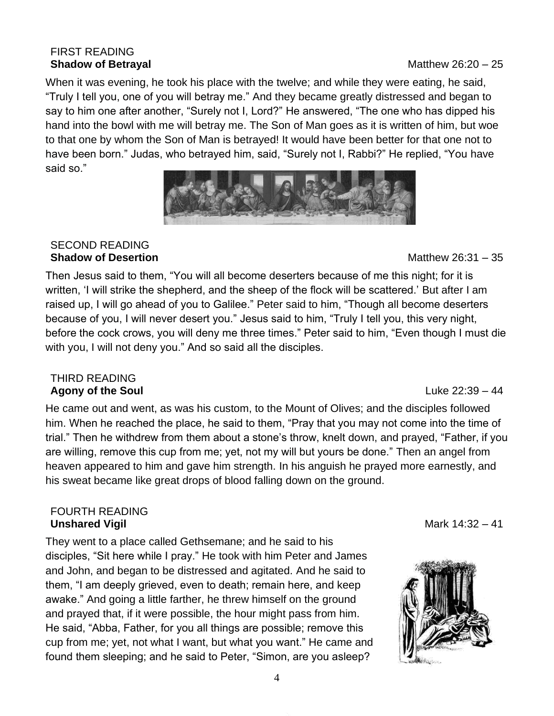## FIRST READING **Shadow of Betrayal Matthew 26:20 – 25 and 26:20 – 25 and 26:20 – 26 and 26:20 – 26 and 26:20 – 25 and 26:20 – 25 and 26:20 – 25 and 26:20 – 25 and 26:20 – 25 and 26:20 – 25 and 26:20 – 25 and 26:20 – 25 and 26:20 – 25 and**

4

When it was evening, he took his place with the twelve; and while they were eating, he said, "Truly I tell you, one of you will betray me." And they became greatly distressed and began to say to him one after another, "Surely not I, Lord?" He answered, "The one who has dipped his hand into the bowl with me will betray me. The Son of Man goes as it is written of him, but woe to that one by whom the Son of Man is betrayed! It would have been better for that one not to have been born." Judas, who betrayed him, said, "Surely not I, Rabbi?" He replied, "You have said so."



Then Jesus said to them, "You will all become deserters because of me this night; for it is written, 'I will strike the shepherd, and the sheep of the flock will be scattered.' But after I am raised up, I will go ahead of you to Galilee." Peter said to him, "Though all become deserters because of you, I will never desert you." Jesus said to him, "Truly I tell you, this very night, before the cock crows, you will deny me three times." Peter said to him, "Even though I must die with you, I will not deny you." And so said all the disciples.

## THIRD READING **Agony of the Soul** Luke 22:39 – 44

He came out and went, as was his custom, to the Mount of Olives; and the disciples followed him. When he reached the place, he said to them, "Pray that you may not come into the time of trial." Then he withdrew from them about a stone's throw, knelt down, and prayed, "Father, if you are willing, remove this cup from me; yet, not my will but yours be done." Then an angel from heaven appeared to him and gave him strength. In his anguish he prayed more earnestly, and his sweat became like great drops of blood falling down on the ground.

## FOURTH READING **Unshared Vigil** Mark 14:32 – 41

They went to a place called Gethsemane; and he said to his disciples, "Sit here while I pray." He took with him Peter and James and John, and began to be distressed and agitated. And he said to them, "I am deeply grieved, even to death; remain here, and keep awake." And going a little farther, he threw himself on the ground and prayed that, if it were possible, the hour might pass from him. He said, "Abba, Father, for you all things are possible; remove this cup from me; yet, not what I want, but what you want." He came and found them sleeping; and he said to Peter, "Simon, are you asleep?



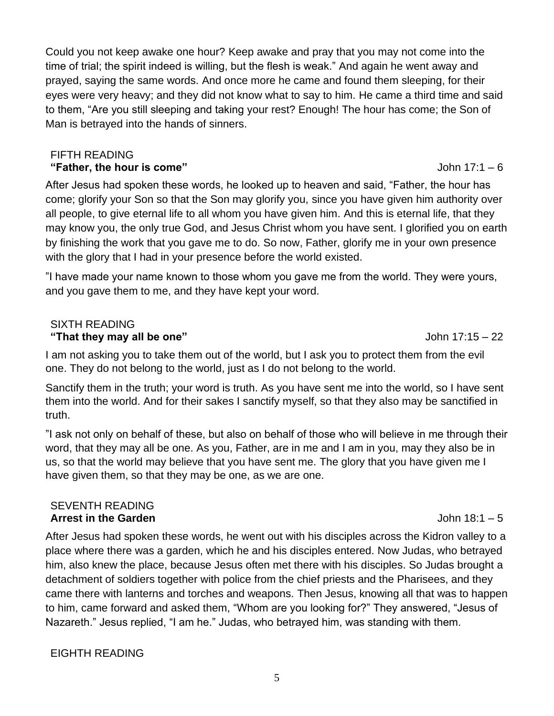Could you not keep awake one hour? Keep awake and pray that you may not come into the time of trial; the spirit indeed is willing, but the flesh is weak." And again he went away and prayed, saying the same words. And once more he came and found them sleeping, for their eyes were very heavy; and they did not know what to say to him. He came a third time and said to them, "Are you still sleeping and taking your rest? Enough! The hour has come; the Son of Man is betrayed into the hands of sinners.

#### FIFTH READING **"Father, the hour is come"** John 17:1 – 6

After Jesus had spoken these words, he looked up to heaven and said, "Father, the hour has come; glorify your Son so that the Son may glorify you, since you have given him authority over all people, to give eternal life to all whom you have given him. And this is eternal life, that they may know you, the only true God, and Jesus Christ whom you have sent. I glorified you on earth by finishing the work that you gave me to do. So now, Father, glorify me in your own presence with the glory that I had in your presence before the world existed.

"I have made your name known to those whom you gave me from the world. They were yours, and you gave them to me, and they have kept your word.

#### SIXTH READING **"That they may all be one"** John 17:15 – 22

I am not asking you to take them out of the world, but I ask you to protect them from the evil one. They do not belong to the world, just as I do not belong to the world.

Sanctify them in the truth; your word is truth. As you have sent me into the world, so I have sent them into the world. And for their sakes I sanctify myself, so that they also may be sanctified in truth.

"I ask not only on behalf of these, but also on behalf of those who will believe in me through their word, that they may all be one. As you, Father, are in me and I am in you, may they also be in us, so that the world may believe that you have sent me. The glory that you have given me I have given them, so that they may be one, as we are one.

#### SEVENTH READING **Arrest in the Garden John 18:1 – 5**

After Jesus had spoken these words, he went out with his disciples across the Kidron valley to a place where there was a garden, which he and his disciples entered. Now Judas, who betrayed him, also knew the place, because Jesus often met there with his disciples. So Judas brought a detachment of soldiers together with police from the chief priests and the Pharisees, and they came there with lanterns and torches and weapons. Then Jesus, knowing all that was to happen to him, came forward and asked them, "Whom are you looking for?" They answered, "Jesus of Nazareth." Jesus replied, "I am he." Judas, who betrayed him, was standing with them.

EIGHTH READING